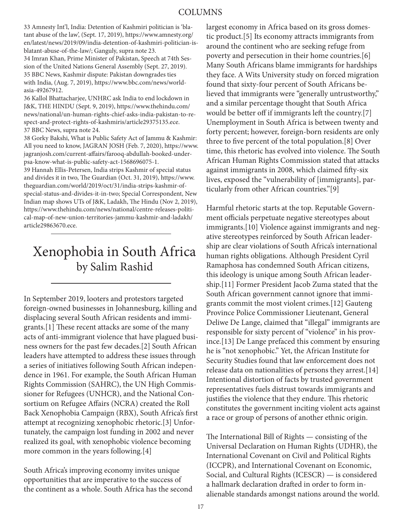33 Amnesty Int'l, India: Detention of Kashmiri politician is 'blatant abuse of the law', (Sept. 17, 2019), https://www.amnesty.org/ en/latest/news/2019/09/india-detention-of-kashmiri-politician-isblatant-abuse-of-the-law/; Ganguly, supra note 23.

34 Imran Khan, Prime Minister of Pakistan, Speech at 74th Session of the United Nations General Assembly (Sept. 27, 2019). 35 BBC News, Kashmir dispute: Pakistan downgrades ties with India, (Aug. 7, 2019), https://www.bbc.com/news/worldasia-49267912.

36 Kallol Bhattacharjee, UNHRC ask India to end lockdown in J&K, THE HINDU (Sept. 9, 2019), https://www.thehindu.com/ news/national/un-human-rights-chief-asks-india-pakistan-to-respect-and-protect-rights-of-kashmiris/article29375135.ece. 37 BBC News, supra note 24.

38 Gorky Bakshi, What is Public Safety Act of Jammu & Kashmir: All you need to know, JAGRAN JOSH (Feb. 7, 2020), https://www. jagranjosh.com/current-affairs/farooq-abdullah-booked-underpsa-know-what-is-public-safety-act-1568696075-1.

39 Hannah Ellis-Petersen, India strips Kashmir of special status and divides it in two, The Guardian (Oct. 31, 2019), https://www. theguardian.com/world/2019/oct/31/india-strips-kashmir-ofspecial-status-and-divides-it-in-two; Special Correspondent, New Indian map shows UTs of J&K, Ladakh, The Hindu (Nov 2, 2019), https://www.thehindu.com/news/national/centre-releases-political-map-of-new-union-territories-jammu-kashmir-and-ladakh/ article29863670.ece.

## Xenophobia in South Africa by Salim Rashid

In September 2019, looters and protestors targeted foreign-owned businesses in Johannesburg, killing and displacing several South African residents and immigrants.[1] These recent attacks are some of the many acts of anti-immigrant violence that have plagued business owners for the past few decades.[2] South African leaders have attempted to address these issues through a series of initiatives following South African independence in 1961. For example, the South African Human Rights Commission (SAHRC), the UN High Commissioner for Refugees (UNHCR), and the National Consortium on Refugee Affairs (NCRA) created the Roll Back Xenophobia Campaign (RBX), South Africa's first attempt at recognizing xenophobic rhetoric.[3] Unfortunately, the campaign lost funding in 2002 and never realized its goal, with xenophobic violence becoming more common in the years following.[4]

South Africa's improving economy invites unique opportunities that are imperative to the success of the continent as a whole. South Africa has the second largest economy in Africa based on its gross domestic product.[5] Its economy attracts immigrants from around the continent who are seeking refuge from poverty and persecution in their home countries.[6] Many South Africans blame immigrants for hardships they face. A Wits University study on forced migration found that sixty-four percent of South Africans believed that immigrants were "generally untrustworthy," and a similar percentage thought that South Africa would be better off if immigrants left the country.[7] Unemployment in South Africa is between twenty and forty percent; however, foreign-born residents are only three to five percent of the total population.[8] Over time, this rhetoric has evolved into violence. The South African Human Rights Commission stated that attacks against immigrants in 2008, which claimed fifty-six lives, exposed the "vulnerability of [immigrants], particularly from other African countries."[9]

Harmful rhetoric starts at the top. Reputable Government officials perpetuate negative stereotypes about immigrants.[10] Violence against immigrants and negative stereotypes reinforced by South African leadership are clear violations of South Africa's international human rights obligations. Although President Cyril Ramaphosa has condemned South African citizens, this ideology is unique among South African leadership.[11] Former President Jacob Zuma stated that the South African government cannot ignore that immigrants commit the most violent crimes.[12] Gauteng Province Police Commissioner Lieutenant, General Deliwe De Lange, claimed that "illegal" immigrants are responsible for sixty percent of "violence" in his province.[13] De Lange prefaced this comment by ensuring he is "not xenophobic." Yet, the African Institute for Security Studies found that law enforcement does not release data on nationalities of persons they arrest.[14] Intentional distortion of facts by trusted government representatives fuels distrust towards immigrants and justifies the violence that they endure. This rhetoric constitutes the government inciting violent acts against a race or group of persons of another ethnic origin.

The International Bill of Rights — consisting of the Universal Declaration on Human Rights (UDHR), the International Covenant on Civil and Political Rights (ICCPR), and International Covenant on Economic, Social, and Cultural Rights (ICESCR) — is considered a hallmark declaration drafted in order to form inalienable standards amongst nations around the world.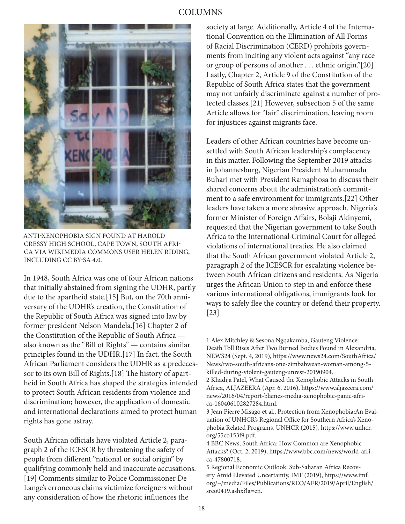## COLUMNS



ANTI-XENOPHOBIA SIGN FOUND AT HAROLD CRESSY HIGH SCHOOL, CAPE TOWN, SOUTH AFRI-CA VIA WIKIMEDIA COMMONS USER HELEN RIDING, INCLUDING CC BY-SA 4.0.

In 1948, South Africa was one of four African nations that initially abstained from signing the UDHR, partly due to the apartheid state.[15] But, on the 70th anniversary of the UDHR's creation, the Constitution of the Republic of South Africa was signed into law by former president Nelson Mandela.[16] Chapter 2 of the Constitution of the Republic of South Africa also known as the "Bill of Rights" — contains similar principles found in the UDHR.[17] In fact, the South African Parliament considers the UDHR as a predecessor to its own Bill of Rights.[18] The history of apartheid in South Africa has shaped the strategies intended to protect South African residents from violence and discrimination; however, the application of domestic and international declarations aimed to protect human rights has gone astray.

South African officials have violated Article 2, paragraph 2 of the ICESCR by threatening the safety of people from different "national or social origin" by qualifying commonly held and inaccurate accusations. [19] Comments similar to Police Commissioner De Lange's erroneous claims victimize foreigners without any consideration of how the rhetoric influences the

society at large. Additionally, Article 4 of the International Convention on the Elimination of All Forms of Racial Discrimination (CERD) prohibits governments from inciting any violent acts against "any race or group of persons of another . . . ethnic origin."[20] Lastly, Chapter 2, Article 9 of the Constitution of the Republic of South Africa states that the government may not unfairly discriminate against a number of protected classes.[21] However, subsection 5 of the same Article allows for "fair" discrimination, leaving room for injustices against migrants face.

Leaders of other African countries have become unsettled with South African leadership's complacency in this matter. Following the September 2019 attacks in Johannesburg, Nigerian President Muhammadu Buhari met with President Ramaphosa to discuss their shared concerns about the administration's commitment to a safe environment for immigrants.[22] Other leaders have taken a more abrasive approach. Nigeria's former Minister of Foreign Affairs, Bolaji Akinyemi, requested that the Nigerian government to take South Africa to the International Criminal Court for alleged violations of international treaties. He also claimed that the South African government violated Article 2, paragraph 2 of the ICESCR for escalating violence between South African citizens and residents. As Nigeria urges the African Union to step in and enforce these various international obligations, immigrants look for ways to safely flee the country or defend their property. [23]

<sup>1</sup> Alex Mitchley & Sesona Ngqakamba, Gauteng Violence: Death Toll Rises After Two Burned Bodies Found in Alexandria, NEWS24 (Sept. 4, 2019), https://www.news24.com/SouthAfrica/ News/two-south-africans-one-zimbabwean-woman-among-5 killed-during-violent-gauteng-unrest-20190904.

<sup>2</sup> Khadija Patel, What Caused the Xenophobic Attacks in South Africa, ALJAZEERA (Apr. 6, 2016), https://www.aljazeera.com/ news/2016/04/report-blames-media-xenophobic-panic-africa-160406102827284.html.

<sup>3</sup> Jean Pierre Misago et al., Protection from Xenophobia:An Evaluation of UNHCR's Regional Office for Southern Africa's Xenophobia Related Programs, UNHCR (2015), https://www.unhcr. org/55cb153f9.pdf.

<sup>4</sup> BBC News, South Africa: How Common are Xenophobic Attacks? (Oct. 2, 2019), https://www.bbc.com/news/world-africa-47800718.

<sup>5</sup> Regional Economic Outlook: Sub-Saharan Africa Recovery Amid Elevated Uncertainty, IMF (2019), https://www.imf. org/~/media/Files/Publications/REO/AFR/2019/April/English/ sreo0419.ashx?la=en.